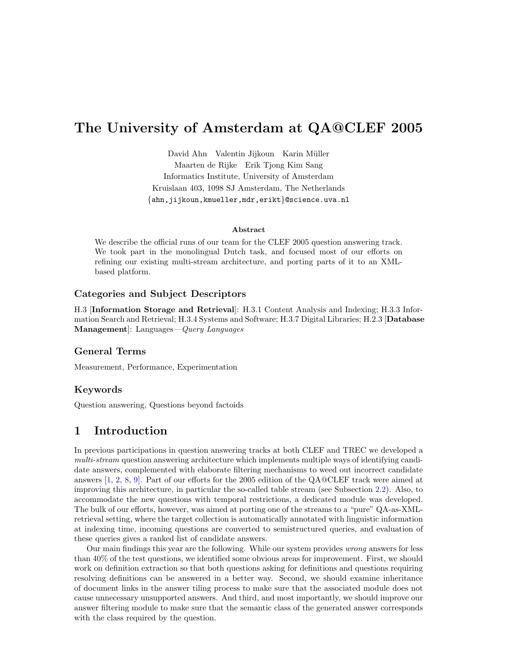# The University of Amsterdam at QA@CLEF 2005

David Ahn Valentin Jijkoun Karin Müller Maarten de Rijke Erik Tjong Kim Sang Informatics Institute, University of Amsterdam Kruislaan 403, 1098 SJ Amsterdam, The Netherlands {ahn,jijkoun,kmueller,mdr,erikt}@science.uva.nl

#### Abstract

We describe the official runs of our team for the CLEF 2005 question answering track. We took part in the monolingual Dutch task, and focused most of our efforts on refining our existing multi-stream architecture, and porting parts of it to an XMLbased platform.

#### Categories and Subject Descriptors

H.3 [Information Storage and Retrieval]: H.3.1 Content Analysis and Indexing; H.3.3 Information Search and Retrieval; H.3.4 Systems and Software; H.3.7 Digital Libraries; H.2.3 [Database Management: Languages—*Query Languages* 

### General Terms

Measurement, Performance, Experimentation

### Keywords

Question answering, Questions beyond factoids

### 1 Introduction

In previous participations in question answering tracks at both CLEF and TREC we developed a multi-stream question answering architecture which implements multiple ways of identifying candidate answers, complemented with elaborate filtering mechanisms to weed out incorrect candidate answers [\[1,](#page-8-0) [2,](#page-8-1) [8,](#page-9-0) [9\]](#page-9-1). Part of our efforts for the 2005 edition of the QA@CLEF track were aimed at improving this architecture, in particular the so-called table stream (see Subsection [2.2\)](#page-2-0). Also, to accommodate the new questions with temporal restrictions, a dedicated module was developed. The bulk of our efforts, however, was aimed at porting one of the streams to a "pure" QA-as-XMLretrieval setting, where the target collection is automatically annotated with linguistic information at indexing time, incoming questions are converted to semistructured queries, and evaluation of these queries gives a ranked list of candidate answers.

Our main findings this year are the following. While our system provides wrong answers for less than 40% of the test questions, we identified some obvious areas for improvement. First, we should work on definition extraction so that both questions asking for definitions and questions requiring resolving definitions can be answered in a better way. Second, we should examine inheritance of document links in the answer tiling process to make sure that the associated module does not cause unnecessary unsupported answers. And third, and most importantly, we should improve our answer filtering module to make sure that the semantic class of the generated answer corresponds with the class required by the question.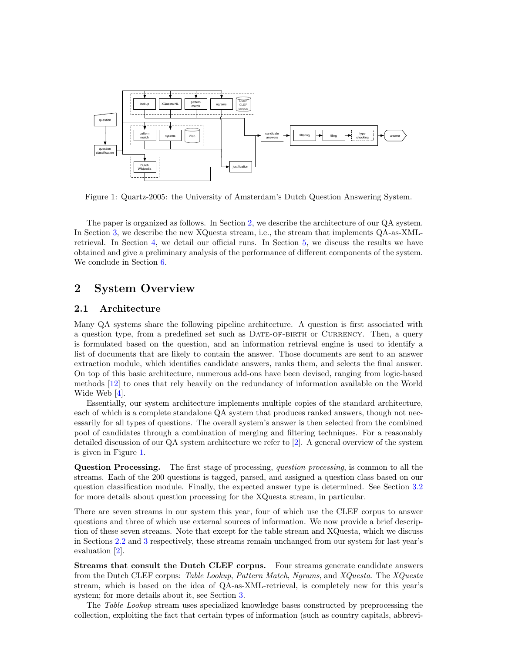

<span id="page-1-1"></span>Figure 1: Quartz-2005: the University of Amsterdam's Dutch Question Answering System.

The paper is organized as follows. In Section [2,](#page-1-0) we describe the architecture of our QA system. In Section [3,](#page-4-0) we describe the new XQuesta stream, i.e., the stream that implements QA-as-XMLretrieval. In Section [4,](#page-6-0) we detail our official runs. In Section [5,](#page-6-1) we discuss the results we have obtained and give a preliminary analysis of the performance of different components of the system. We conclude in Section [6.](#page-8-2)

### <span id="page-1-0"></span>2 System Overview

#### 2.1 Architecture

Many QA systems share the following pipeline architecture. A question is first associated with a question type, from a predefined set such as DATE-OF-BIRTH or CURRENCY. Then, a query is formulated based on the question, and an information retrieval engine is used to identify a list of documents that are likely to contain the answer. Those documents are sent to an answer extraction module, which identifies candidate answers, ranks them, and selects the final answer. On top of this basic architecture, numerous add-ons have been devised, ranging from logic-based methods [\[12\]](#page-9-2) to ones that rely heavily on the redundancy of information available on the World Wide Web [\[4\]](#page-8-3).

Essentially, our system architecture implements multiple copies of the standard architecture, each of which is a complete standalone QA system that produces ranked answers, though not necessarily for all types of questions. The overall system's answer is then selected from the combined pool of candidates through a combination of merging and filtering techniques. For a reasonably detailed discussion of our QA system architecture we refer to [\[2\]](#page-8-1). A general overview of the system is given in Figure [1.](#page-1-1)

Question Processing. The first stage of processing, question processing, is common to all the streams. Each of the 200 questions is tagged, parsed, and assigned a question class based on our question classification module. Finally, the expected answer type is determined. See Section [3.2](#page-5-0) for more details about question processing for the XQuesta stream, in particular.

There are seven streams in our system this year, four of which use the CLEF corpus to answer questions and three of which use external sources of information. We now provide a brief description of these seven streams. Note that except for the table stream and XQuesta, which we discuss in Sections [2.2](#page-2-0) and [3](#page-4-0) respectively, these streams remain unchanged from our system for last year's evaluation [\[2\]](#page-8-1).

Streams that consult the Dutch CLEF corpus. Four streams generate candidate answers from the Dutch CLEF corpus: Table Lookup, Pattern Match, Ngrams, and XQuesta. The XQuesta stream, which is based on the idea of QA-as-XML-retrieval, is completely new for this year's system; for more details about it, see Section [3.](#page-4-0)

The Table Lookup stream uses specialized knowledge bases constructed by preprocessing the collection, exploiting the fact that certain types of information (such as country capitals, abbrevi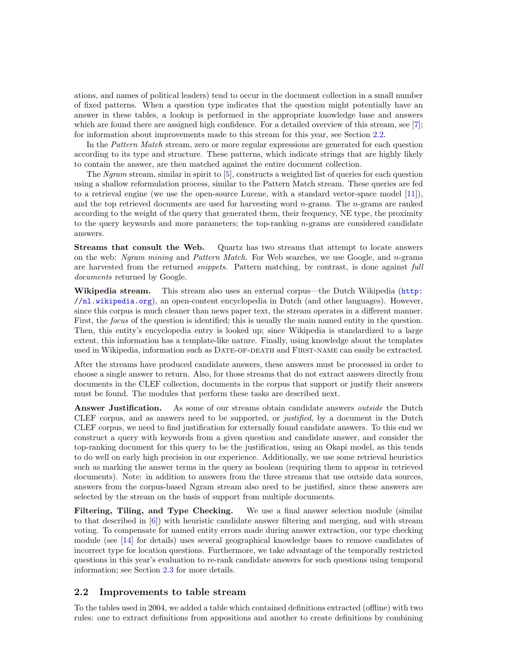ations, and names of political leaders) tend to occur in the document collection in a small number of fixed patterns. When a question type indicates that the question might potentially have an answer in these tables, a lookup is performed in the appropriate knowledge base and answers which are found there are assigned high confidence. For a detailed overview of this stream, see [\[7\]](#page-8-4); for information about improvements made to this stream for this year, see Section [2.2.](#page-2-0)

In the Pattern Match stream, zero or more regular expressions are generated for each question according to its type and structure. These patterns, which indicate strings that are highly likely to contain the answer, are then matched against the entire document collection.

The Ngram stream, similar in spirit to [\[5\]](#page-8-5), constructs a weighted list of queries for each question using a shallow reformulation process, similar to the Pattern Match stream. These queries are fed to a retrieval engine (we use the open-source Lucene, with a standard vector-space model [\[11\]](#page-9-3)), and the top retrieved documents are used for harvesting word  $n$ -grams. The  $n$ -grams are ranked according to the weight of the query that generated them, their frequency, NE type, the proximity to the query keywords and more parameters; the top-ranking n-grams are considered candidate answers.

Streams that consult the Web. Quartz has two streams that attempt to locate answers on the web: Ngram mining and Pattern Match. For Web searches, we use Google, and n-grams are harvested from the returned *snippets*. Pattern matching, by contrast, is done against full documents returned by Google.

Wikipedia stream. This stream also uses an external corpus—the Dutch Wikipedia ([http:](http://nl.wikipedia.org) [//nl.wikipedia.org](http://nl.wikipedia.org)), an open-content encyclopedia in Dutch (and other languages). However, since this corpus is much cleaner than news paper text, the stream operates in a different manner. First, the *focus* of the question is identified; this is usually the main named entity in the question. Then, this entity's encyclopedia entry is looked up; since Wikipedia is standardized to a large extent, this information has a template-like nature. Finally, using knowledge about the templates used in Wikipedia, information such as DATE-OF-DEATH and FIRST-NAME can easily be extracted.

After the streams have produced candidate answers, these answers must be processed in order to choose a single answer to return. Also, for those streams that do not extract answers directly from documents in the CLEF collection, documents in the corpus that support or justify their answers must be found. The modules that perform these tasks are described next.

Answer Justification. As some of our streams obtain candidate answers *outside* the Dutch CLEF corpus, and as answers need to be supported, or justified, by a document in the Dutch CLEF corpus, we need to find justification for externally found candidate answers. To this end we construct a query with keywords from a given question and candidate answer, and consider the top-ranking document for this query to be the justification, using an Okapi model, as this tends to do well on early high precision in our experience. Additionally, we use some retrieval heuristics such as marking the answer terms in the query as boolean (requiring them to appear in retrieved documents). Note: in addition to answers from the three streams that use outside data sources, answers from the corpus-based Ngram stream also need to be justified, since these answers are selected by the stream on the basis of support from multiple documents.

Filtering, Tiling, and Type Checking. We use a final answer selection module (similar to that described in [\[6\]](#page-8-6)) with heuristic candidate answer filtering and merging, and with stream voting. To compensate for named entity errors made during answer extraction, our type checking module (see [\[14\]](#page-9-4) for details) uses several geographical knowledge bases to remove candidates of incorrect type for location questions. Furthermore, we take advantage of the temporally restricted questions in this year's evaluation to re-rank candidate answers for such questions using temporal information; see Section [2.3](#page-3-0) for more details.

### <span id="page-2-0"></span>2.2 Improvements to table stream

To the tables used in 2004, we added a table which contained definitions extracted (offline) with two rules: one to extract definitions from appositions and another to create definitions by combining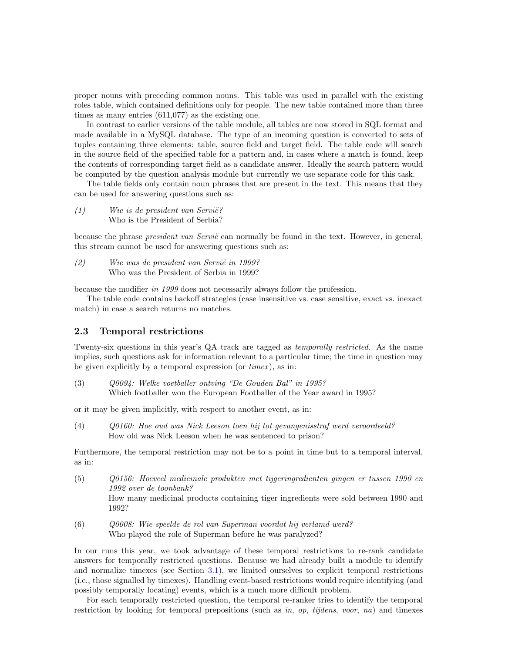proper nouns with preceding common nouns. This table was used in parallel with the existing roles table, which contained definitions only for people. The new table contained more than three times as many entries (611,077) as the existing one.

In contrast to earlier versions of the table module, all tables are now stored in SQL format and made available in a MySQL database. The type of an incoming question is converted to sets of tuples containing three elements: table, source field and target field. The table code will search in the source field of the specified table for a pattern and, in cases where a match is found, keep the contents of corresponding target field as a candidate answer. Ideally the search pattern would be computed by the question analysis module but currently we use separate code for this task.

The table fields only contain noun phrases that are present in the text. This means that they can be used for answering questions such as:

(1) Wie is de president van Servië? Who is the President of Serbia?

because the phrase *president van Servië* can normally be found in the text. However, in general, this stream cannot be used for answering questions such as:

 $(2)$  Wie was de president van Servië in 1999? Who was the President of Serbia in 1999?

because the modifier in 1999 does not necessarily always follow the profession.

The table code contains backoff strategies (case insensitive vs. case sensitive, exact vs. inexact match) in case a search returns no matches.

### <span id="page-3-0"></span>2.3 Temporal restrictions

Twenty-six questions in this year's QA track are tagged as temporally restricted. As the name implies, such questions ask for information relevant to a particular time; the time in question may be given explicitly by a temporal expression (or  $timex$ ), as in:

(3) Q0094: Welke voetballer ontving "De Gouden Bal" in 1995? Which footballer won the European Footballer of the Year award in 1995?

or it may be given implicitly, with respect to another event, as in:

(4) Q0160: Hoe oud was Nick Leeson toen hij tot gevangenisstraf werd veroordeeld? How old was Nick Leeson when he was sentenced to prison?

Furthermore, the temporal restriction may not be to a point in time but to a temporal interval, as in:

- (5) Q0156: Hoeveel medicinale produkten met tijgeringredienten gingen er tussen 1990 en 1992 over de toonbank? How many medicinal products containing tiger ingredients were sold between 1990 and 1992?
- (6) Q0008: Wie speelde de rol van Superman voordat hij verlamd werd? Who played the role of Superman before he was paralyzed?

In our runs this year, we took advantage of these temporal restrictions to re-rank candidate answers for temporally restricted questions. Because we had already built a module to identify and normalize timexes (see Section [3.1\)](#page-4-1), we limited ourselves to explicit temporal restrictions (i.e., those signalled by timexes). Handling event-based restrictions would require identifying (and possibly temporally locating) events, which is a much more difficult problem.

For each temporally restricted question, the temporal re-ranker tries to identify the temporal restriction by looking for temporal prepositions (such as in, op, tijdens, voor, na) and timexes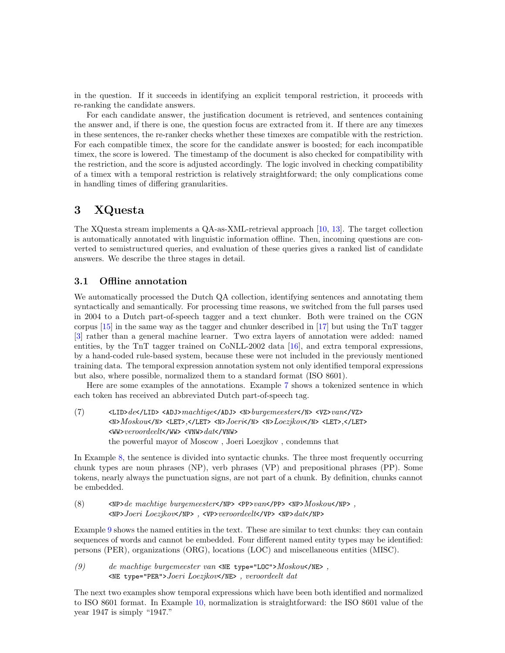in the question. If it succeeds in identifying an explicit temporal restriction, it proceeds with re-ranking the candidate answers.

For each candidate answer, the justification document is retrieved, and sentences containing the answer and, if there is one, the question focus are extracted from it. If there are any timexes in these sentences, the re-ranker checks whether these timexes are compatible with the restriction. For each compatible timex, the score for the candidate answer is boosted; for each incompatible timex, the score is lowered. The timestamp of the document is also checked for compatibility with the restriction, and the score is adjusted accordingly. The logic involved in checking compatibility of a timex with a temporal restriction is relatively straightforward; the only complications come in handling times of differing granularities.

### <span id="page-4-0"></span>3 XQuesta

The XQuesta stream implements a QA-as-XML-retrieval approach [\[10,](#page-9-5) [13\]](#page-9-6). The target collection is automatically annotated with linguistic information offline. Then, incoming questions are converted to semistructured queries, and evaluation of these queries gives a ranked list of candidate answers. We describe the three stages in detail.

### <span id="page-4-1"></span>3.1 Offline annotation

We automatically processed the Dutch QA collection, identifying sentences and annotating them syntactically and semantically. For processing time reasons, we switched from the full parses used in 2004 to a Dutch part-of-speech tagger and a text chunker. Both were trained on the CGN corpus [\[15\]](#page-9-7) in the same way as the tagger and chunker described in [\[17\]](#page-9-8) but using the TnT tagger [\[3\]](#page-8-7) rather than a general machine learner. Two extra layers of annotation were added: named entities, by the TnT tagger trained on CoNLL-2002 data [\[16\]](#page-9-9), and extra temporal expressions, by a hand-coded rule-based system, because these were not included in the previously mentioned training data. The temporal expression annotation system not only identified temporal expressions but also, where possible, normalized them to a standard format (ISO 8601).

Here are some examples of the annotations. Example [7](#page-4-2) shows a tokenized sentence in which each token has received an abbreviated Dutch part-of-speech tag.

<span id="page-4-2"></span>(7) <LID>de</LID> <ADJ>machtige</ADJ> <N>burgemeester</N> <VZ>van</VZ>  $<\!\!N\!\!>Moskou<\!\!/N\!\!>$  <LET>,</LET> </LET>  $<\!\!N\!\!>Joeri<\!\!/N\!\!>$  <N> $Loezjkov<\!\!N\!\!>$  <LET>,</LET>  $\leq$ WW> $veroordeelt$ </WW> $\leq$ VNW> $data$ </VNW> the powerful mayor of Moscow , Joeri Loezjkov , condemns that

In Example [8,](#page-4-3) the sentence is divided into syntactic chunks. The three most frequently occurring chunk types are noun phrases (NP), verb phrases (VP) and prepositional phrases (PP). Some tokens, nearly always the punctuation signs, are not part of a chunk. By definition, chunks cannot be embedded.

<span id="page-4-3"></span>(8)  $\langle P \rangle$  <NP>de machtige burgemeester</NP> <PP>van</PP> <NP> $Moskou$ </NP>, <NP>Joeri Loezjkov</NP> , <VP>veroordeelt</VP> <NP>dat</NP>

Example [9](#page-4-4) shows the named entities in the text. These are similar to text chunks: they can contain sequences of words and cannot be embedded. Four different named entity types may be identified: persons (PER), organizations (ORG), locations (LOC) and miscellaneous entities (MISC).

<span id="page-4-4"></span>(9) de machtige burgemeester van  $\langle NE \rangle$  type="LOC">Moskou $\langle NE \rangle$ , <NE type="PER">Joeri Loezjkov</NE> , veroordeelt dat

The next two examples show temporal expressions which have been both identified and normalized to ISO 8601 format. In Example [10,](#page-5-1) normalization is straightforward: the ISO 8601 value of the year 1947 is simply "1947."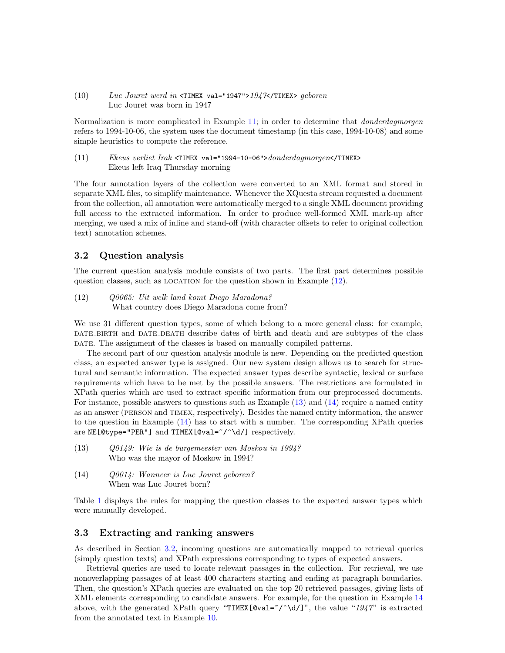<span id="page-5-1"></span>(10) Luc Jouret werd in  $\tau$ TIMEX val="1947">1947 $\lt/$ TIMEX> geboren Luc Jouret was born in 1947

Normalization is more complicated in Example [11;](#page-5-2) in order to determine that *donderdagmorgen* refers to 1994-10-06, the system uses the document timestamp (in this case, 1994-10-08) and some simple heuristics to compute the reference.

<span id="page-5-2"></span>(11) Ekeus verliet Irak <TIMEX val="1994-10-06">donderdagmorgen</TIMEX> Ekeus left Iraq Thursday morning

The four annotation layers of the collection were converted to an XML format and stored in separate XML files, to simplify maintenance. Whenever the XQuesta stream requested a document from the collection, all annotation were automatically merged to a single XML document providing full access to the extracted information. In order to produce well-formed XML mark-up after merging, we used a mix of inline and stand-off (with character offsets to refer to original collection text) annotation schemes.

#### <span id="page-5-0"></span>3.2 Question analysis

The current question analysis module consists of two parts. The first part determines possible question classes, such as LOCATION for the question shown in Example  $(12)$ .

<span id="page-5-3"></span>(12) Q0065: Uit welk land komt Diego Maradona? What country does Diego Maradona come from?

We use 31 different question types, some of which belong to a more general class: for example, DATE\_BIRTH and DATE\_DEATH describe dates of birth and death and are subtypes of the class DATE. The assignment of the classes is based on manually compiled patterns.

The second part of our question analysis module is new. Depending on the predicted question class, an expected answer type is assigned. Our new system design allows us to search for structural and semantic information. The expected answer types describe syntactic, lexical or surface requirements which have to be met by the possible answers. The restrictions are formulated in XPath queries which are used to extract specific information from our preprocessed documents. For instance, possible answers to questions such as Example [\(13\)](#page-5-4) and [\(14\)](#page-5-5) require a named entity as an answer (person and timex, respectively). Besides the named entity information, the answer to the question in Example [\(14\)](#page-5-5) has to start with a number. The corresponding XPath queries are  $NE[\texttt{@type='PER"}]$  and  $TIMEX[\texttt{@val='}/\texttt{d}/]$  respectively.

- <span id="page-5-4"></span>(13) Q0149: Wie is de burgemeester van Moskou in 1994? Who was the mayor of Moskow in 1994?
- <span id="page-5-5"></span>(14) Q0014: Wanneer is Luc Jouret geboren? When was Luc Jouret born?

Table [1](#page-6-2) displays the rules for mapping the question classes to the expected answer types which were manually developed.

#### 3.3 Extracting and ranking answers

As described in Section [3.2,](#page-5-0) incoming questions are automatically mapped to retrieval queries (simply question texts) and XPath expressions corresponding to types of expected answers.

Retrieval queries are used to locate relevant passages in the collection. For retrieval, we use nonoverlapping passages of at least 400 characters starting and ending at paragraph boundaries. Then, the question's XPath queries are evaluated on the top 20 retrieved passages, giving lists of XML elements corresponding to candidate answers. For example, for the question in Example [14](#page-5-5) above, with the generated XPath query "TIMEX[@val= $\gamma \$  \dagger]", the value "1947" is extracted from the annotated text in Example [10.](#page-5-1)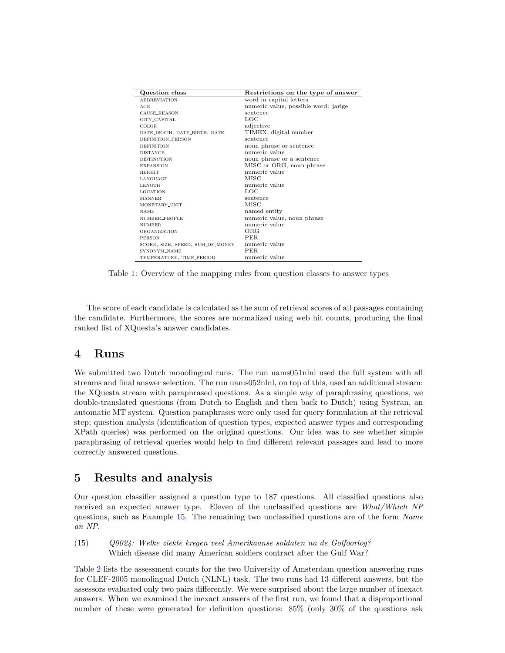| Question class                   | Restrictions on the type of answer   |  |  |
|----------------------------------|--------------------------------------|--|--|
| <b>ABBREVIATION</b>              | word in capital letters              |  |  |
| AGE                              | numeric value, possible word: jarige |  |  |
| CAUSE_REASON                     | sentence                             |  |  |
| CITY_CAPITAL                     | LOC                                  |  |  |
| COLOR.                           | adjective                            |  |  |
| DATE_DEATH, DATE_BIRTH, DATE     | TIMEX, digital number                |  |  |
| DEFINITION_PERSON                | sentence                             |  |  |
| <b>DEFINITION</b>                | noun phrase or sentence              |  |  |
| <b>DISTANCE</b>                  | numeric value                        |  |  |
| <b>DISTINCTION</b>               | noun phrase or a sentence            |  |  |
| <b>EXPANSION</b>                 | MISC or ORG, noun phrase             |  |  |
| <b>HEIGHT</b>                    | numeric value                        |  |  |
| LANGUAGE                         | MISC                                 |  |  |
| <b>LENGTH</b>                    | numeric value                        |  |  |
| <b>LOCATION</b>                  | LOC                                  |  |  |
| <b>MANNER</b>                    | sentence                             |  |  |
| MONETARY_UNIT                    | <b>MISC</b>                          |  |  |
| <b>NAME</b>                      | named entity                         |  |  |
| NUMBER_PEOPLE                    | numeric value, noun phrase           |  |  |
| NUMBER.                          | numeric value                        |  |  |
| ORGANIZATION                     | ORG                                  |  |  |
| <b>PERSON</b>                    | PER.                                 |  |  |
| SCORE, SIZE, SPEED, SUM_OF_MONEY | numeric value                        |  |  |
| SYNONYM NAME                     | PER.                                 |  |  |
| TEMPERATURE, TIME_PERIOD         | numeric value                        |  |  |

<span id="page-6-2"></span>Table 1: Overview of the mapping rules from question classes to answer types

The score of each candidate is calculated as the sum of retrieval scores of all passages containing the candidate. Furthermore, the scores are normalized using web hit counts, producing the final ranked list of XQuesta's answer candidates.

### <span id="page-6-0"></span>4 Runs

We submitted two Dutch monolingual runs. The run uams051nlnl used the full system with all streams and final answer selection. The run uams052nlnl, on top of this, used an additional stream: the XQuesta stream with paraphrased questions. As a simple way of paraphrasing questions, we double-translated questions (from Dutch to English and then back to Dutch) using Systran, an automatic MT system. Question paraphrases were only used for query formulation at the retrieval step; question analysis (identification of question types, expected answer types and corresponding XPath queries) was performed on the original questions. Our idea was to see whether simple paraphrasing of retrieval queries would help to find different relevant passages and lead to more correctly answered questions.

# <span id="page-6-1"></span>5 Results and analysis

Our question classifier assigned a question type to 187 questions. All classified questions also received an expected answer type. Eleven of the unclassified questions are What/Which NP questions, such as Example [15.](#page-6-3) The remaining two unclassified questions are of the form Name an NP.

<span id="page-6-3"></span>(15) Q0024: Welke ziekte kregen veel Amerikaanse soldaten na de Golfoorlog? Which disease did many American soldiers contract after the Gulf War?

Table [2](#page-7-0) lists the assessment counts for the two University of Amsterdam question answering runs for CLEF-2005 monolingual Dutch (NLNL) task. The two runs had 13 different answers, but the assessors evaluated only two pairs differently. We were surprised about the large number of inexact answers. When we examined the inexact answers of the first run, we found that a disproportional number of these were generated for definition questions: 85% (only 30% of the questions ask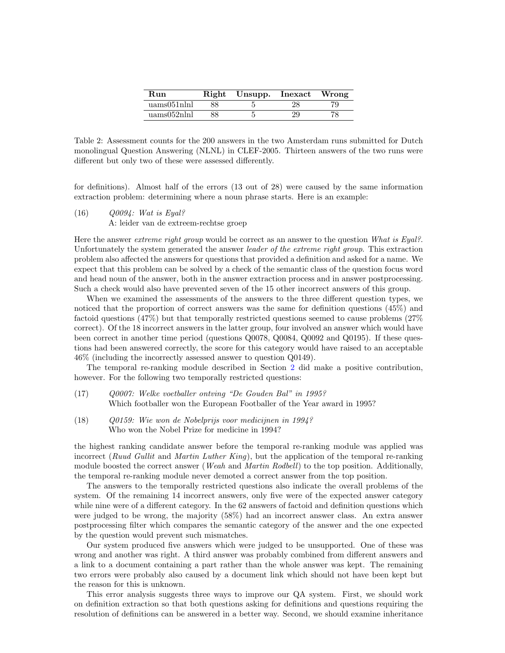| Run                        | Right | Unsupp. Inexact |    | Wrong |
|----------------------------|-------|-----------------|----|-------|
| $\text{uams}051\text{nln}$ | 88    |                 | 28 | 79    |
| uams052nlnl                | 88    |                 | 29 | 78    |

<span id="page-7-0"></span>Table 2: Assessment counts for the 200 answers in the two Amsterdam runs submitted for Dutch monolingual Question Answering (NLNL) in CLEF-2005. Thirteen answers of the two runs were different but only two of these were assessed differently.

for definitions). Almost half of the errors (13 out of 28) were caused by the same information extraction problem: determining where a noun phrase starts. Here is an example:

(16) Q0094: Wat is Eyal?

A: leider van de extreem-rechtse groep

Here the answer *extreme right group* would be correct as an answer to the question What is Eyal?. Unfortunately the system generated the answer leader of the extreme right group. This extraction problem also affected the answers for questions that provided a definition and asked for a name. We expect that this problem can be solved by a check of the semantic class of the question focus word and head noun of the answer, both in the answer extraction process and in answer postprocessing. Such a check would also have prevented seven of the 15 other incorrect answers of this group.

When we examined the assessments of the answers to the three different question types, we noticed that the proportion of correct answers was the same for definition questions (45%) and factoid questions (47%) but that temporally restricted questions seemed to cause problems (27% correct). Of the 18 incorrect answers in the latter group, four involved an answer which would have been correct in another time period (questions Q0078, Q0084, Q0092 and Q0195). If these questions had been answered correctly, the score for this category would have raised to an acceptable 46% (including the incorrectly assessed answer to question Q0149).

The temporal re-ranking module described in Section [2](#page-1-0) did make a positive contribution, however. For the following two temporally restricted questions:

- (17) Q0007: Welke voetballer ontving "De Gouden Bal" in 1995? Which footballer won the European Footballer of the Year award in 1995?
- (18) Q0159: Wie won de Nobelprijs voor medicijnen in 1994? Who won the Nobel Prize for medicine in 1994?

the highest ranking candidate answer before the temporal re-ranking module was applied was incorrect (Ruud Gullit and Martin Luther King), but the application of the temporal re-ranking module boosted the correct answer (Weah and Martin Rodbell) to the top position. Additionally, the temporal re-ranking module never demoted a correct answer from the top position.

The answers to the temporally restricted questions also indicate the overall problems of the system. Of the remaining 14 incorrect answers, only five were of the expected answer category while nine were of a different category. In the 62 answers of factoid and definition questions which were judged to be wrong, the majority (58%) had an incorrect answer class. An extra answer postprocessing filter which compares the semantic category of the answer and the one expected by the question would prevent such mismatches.

Our system produced five answers which were judged to be unsupported. One of these was wrong and another was right. A third answer was probably combined from different answers and a link to a document containing a part rather than the whole answer was kept. The remaining two errors were probably also caused by a document link which should not have been kept but the reason for this is unknown.

This error analysis suggests three ways to improve our QA system. First, we should work on definition extraction so that both questions asking for definitions and questions requiring the resolution of definitions can be answered in a better way. Second, we should examine inheritance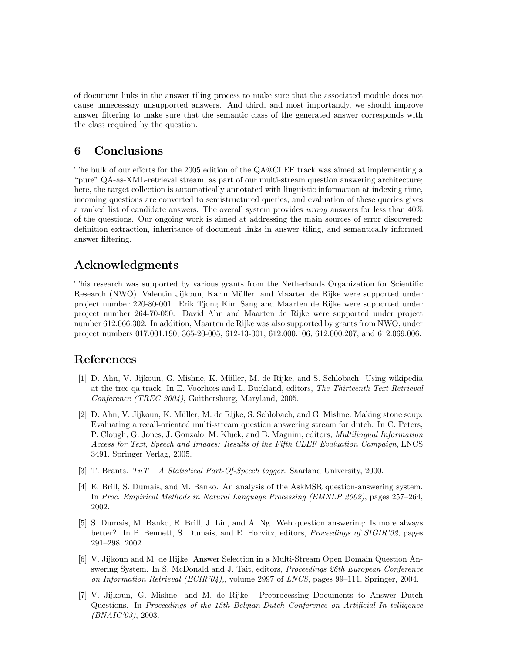of document links in the answer tiling process to make sure that the associated module does not cause unnecessary unsupported answers. And third, and most importantly, we should improve answer filtering to make sure that the semantic class of the generated answer corresponds with the class required by the question.

### <span id="page-8-2"></span>6 Conclusions

The bulk of our efforts for the 2005 edition of the QA@CLEF track was aimed at implementing a "pure" QA-as-XML-retrieval stream, as part of our multi-stream question answering architecture; here, the target collection is automatically annotated with linguistic information at indexing time, incoming questions are converted to semistructured queries, and evaluation of these queries gives a ranked list of candidate answers. The overall system provides wrong answers for less than 40% of the questions. Our ongoing work is aimed at addressing the main sources of error discovered: definition extraction, inheritance of document links in answer tiling, and semantically informed answer filtering.

# Acknowledgments

This research was supported by various grants from the Netherlands Organization for Scientific Research (NWO). Valentin Jijkoun, Karin Müller, and Maarten de Rijke were supported under project number 220-80-001. Erik Tjong Kim Sang and Maarten de Rijke were supported under project number 264-70-050. David Ahn and Maarten de Rijke were supported under project number 612.066.302. In addition, Maarten de Rijke was also supported by grants from NWO, under project numbers 017.001.190, 365-20-005, 612-13-001, 612.000.106, 612.000.207, and 612.069.006.

### References

- <span id="page-8-0"></span>[1] D. Ahn, V. Jijkoun, G. Mishne, K. Müller, M. de Rijke, and S. Schlobach. Using wikipedia at the trec qa track. In E. Voorhees and L. Buckland, editors, The Thirteenth Text Retrieval Conference (TREC 2004), Gaithersburg, Maryland, 2005.
- <span id="page-8-1"></span>[2] D. Ahn, V. Jijkoun, K. M¨uller, M. de Rijke, S. Schlobach, and G. Mishne. Making stone soup: Evaluating a recall-oriented multi-stream question answering stream for dutch. In C. Peters, P. Clough, G. Jones, J. Gonzalo, M. Kluck, and B. Magnini, editors, Multilingual Information Access for Text, Speech and Images: Results of the Fifth CLEF Evaluation Campaign, LNCS 3491. Springer Verlag, 2005.
- <span id="page-8-7"></span>[3] T. Brants. TnT – A Statistical Part-Of-Speech tagger. Saarland University, 2000.
- <span id="page-8-3"></span>[4] E. Brill, S. Dumais, and M. Banko. An analysis of the AskMSR question-answering system. In Proc. Empirical Methods in Natural Language Processing (EMNLP 2002), pages 257–264, 2002.
- <span id="page-8-5"></span>[5] S. Dumais, M. Banko, E. Brill, J. Lin, and A. Ng. Web question answering: Is more always better? In P. Bennett, S. Dumais, and E. Horvitz, editors, Proceedings of SIGIR'02, pages 291–298, 2002.
- <span id="page-8-6"></span>[6] V. Jijkoun and M. de Rijke. Answer Selection in a Multi-Stream Open Domain Question Answering System. In S. McDonald and J. Tait, editors, Proceedings 26th European Conference on Information Retrieval (ECIR'04),, volume 2997 of LNCS, pages 99–111. Springer, 2004.
- <span id="page-8-4"></span>[7] V. Jijkoun, G. Mishne, and M. de Rijke. Preprocessing Documents to Answer Dutch Questions. In Proceedings of the 15th Belgian-Dutch Conference on Artificial In telligence  $(BNAIC'03)$ , 2003.